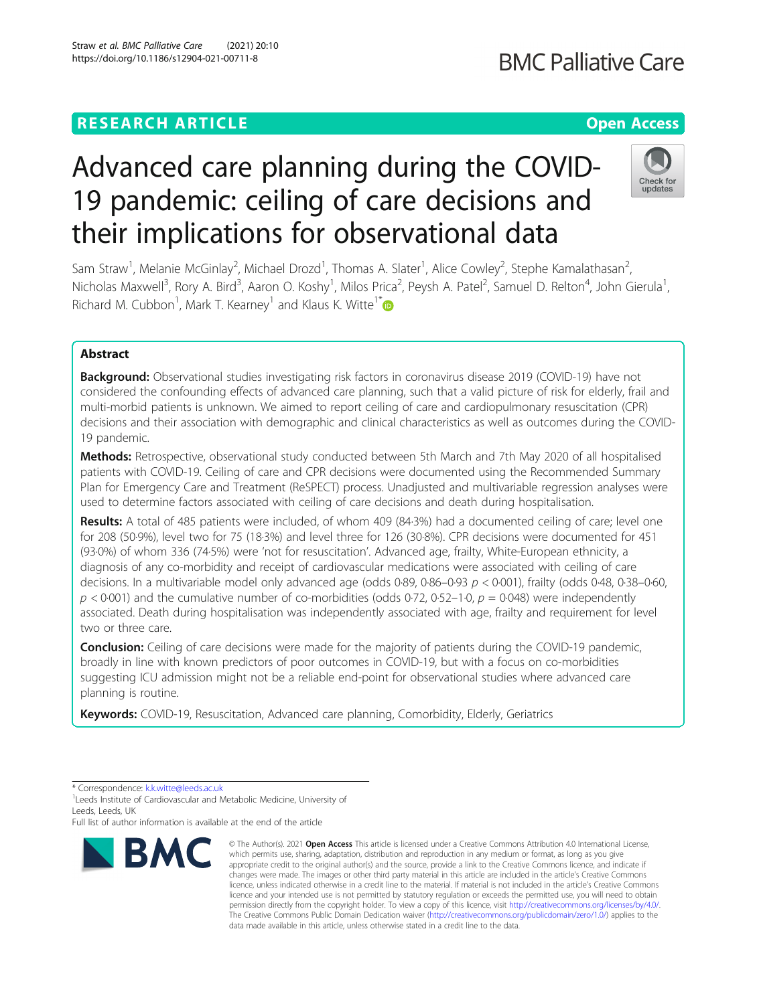# **RESEARCH ARTICLE Example 2014 12:30 The Contract of Contract ACCESS**

# Advanced care planning during the COVID-19 pandemic: ceiling of care decisions and their implications for observational data

Sam Straw<sup>1</sup>, Melanie McGinlay<sup>2</sup>, Michael Drozd<sup>1</sup>, Thomas A. Slater<sup>1</sup>, Alice Cowley<sup>2</sup>, Stephe Kamalathasan<sup>2</sup> , Nicholas Maxwell<sup>3</sup>, Rory A. Bird<sup>3</sup>, Aaron O. Koshy<sup>1</sup>, Milos Prica<sup>2</sup>, Peysh A. Patel<sup>2</sup>, Samuel D. Relton<sup>4</sup>, John Gierula<sup>1</sup> , Richard M. Cubbon<sup>1</sup>, Mark T. Kearney<sup>1</sup> and Klaus K. Witte<sup>1[\\*](http://orcid.org/0000-0002-7146-7105)</sup>

# Abstract

Background: Observational studies investigating risk factors in coronavirus disease 2019 (COVID-19) have not considered the confounding effects of advanced care planning, such that a valid picture of risk for elderly, frail and multi-morbid patients is unknown. We aimed to report ceiling of care and cardiopulmonary resuscitation (CPR) decisions and their association with demographic and clinical characteristics as well as outcomes during the COVID-19 pandemic.

Methods: Retrospective, observational study conducted between 5th March and 7th May 2020 of all hospitalised patients with COVID-19. Ceiling of care and CPR decisions were documented using the Recommended Summary Plan for Emergency Care and Treatment (ReSPECT) process. Unadjusted and multivariable regression analyses were used to determine factors associated with ceiling of care decisions and death during hospitalisation.

Results: A total of 485 patients were included, of whom 409 (84-3%) had a documented ceiling of care; level one for 208 (50·9%), level two for 75 (18·3%) and level three for 126 (30·8%). CPR decisions were documented for 451 (93·0%) of whom 336 (74·5%) were 'not for resuscitation'. Advanced age, frailty, White-European ethnicity, a diagnosis of any co-morbidity and receipt of cardiovascular medications were associated with ceiling of care decisions. In a multivariable model only advanced age (odds 0·89, 0·86–0·93  $p < 0.001$ ), frailty (odds 0·48, 0·38–0·60,  $p < 0.001$ ) and the cumulative number of co-morbidities (odds 0-72, 0-52–1-0,  $p = 0.048$ ) were independently associated. Death during hospitalisation was independently associated with age, frailty and requirement for level two or three care.

**Conclusion:** Ceiling of care decisions were made for the majority of patients during the COVID-19 pandemic, broadly in line with known predictors of poor outcomes in COVID-19, but with a focus on co-morbidities suggesting ICU admission might not be a reliable end-point for observational studies where advanced care planning is routine.

Keywords: COVID-19, Resuscitation, Advanced care planning, Comorbidity, Elderly, Geriatrics

<sup>1</sup> Leeds Institute of Cardiovascular and Metabolic Medicine, University of Leeds, Leeds, UK

Full list of author information is available at the end of the article

# Straw et al. BMC Palliative Care (2021) 20:10 https://doi.org/10.1186/s12904-021-00711-8



<sup>©</sup> The Author(s), 2021 **Open Access** This article is licensed under a Creative Commons Attribution 4.0 International License, which permits use, sharing, adaptation, distribution and reproduction in any medium or format, as long as you give appropriate credit to the original author(s) and the source, provide a link to the Creative Commons licence, and indicate if changes were made. The images or other third party material in this article are included in the article's Creative Commons licence, unless indicated otherwise in a credit line to the material. If material is not included in the article's Creative Commons licence and your intended use is not permitted by statutory regulation or exceeds the permitted use, you will need to obtain permission directly from the copyright holder. To view a copy of this licence, visit [http://creativecommons.org/licenses/by/4.0/.](http://creativecommons.org/licenses/by/4.0/) The Creative Commons Public Domain Dedication waiver [\(http://creativecommons.org/publicdomain/zero/1.0/](http://creativecommons.org/publicdomain/zero/1.0/)) applies to the data made available in this article, unless otherwise stated in a credit line to the data.



<sup>\*</sup> Correspondence: [k.k.witte@leeds.ac.uk](mailto:k.k.witte@leeds.ac.uk) <sup>1</sup>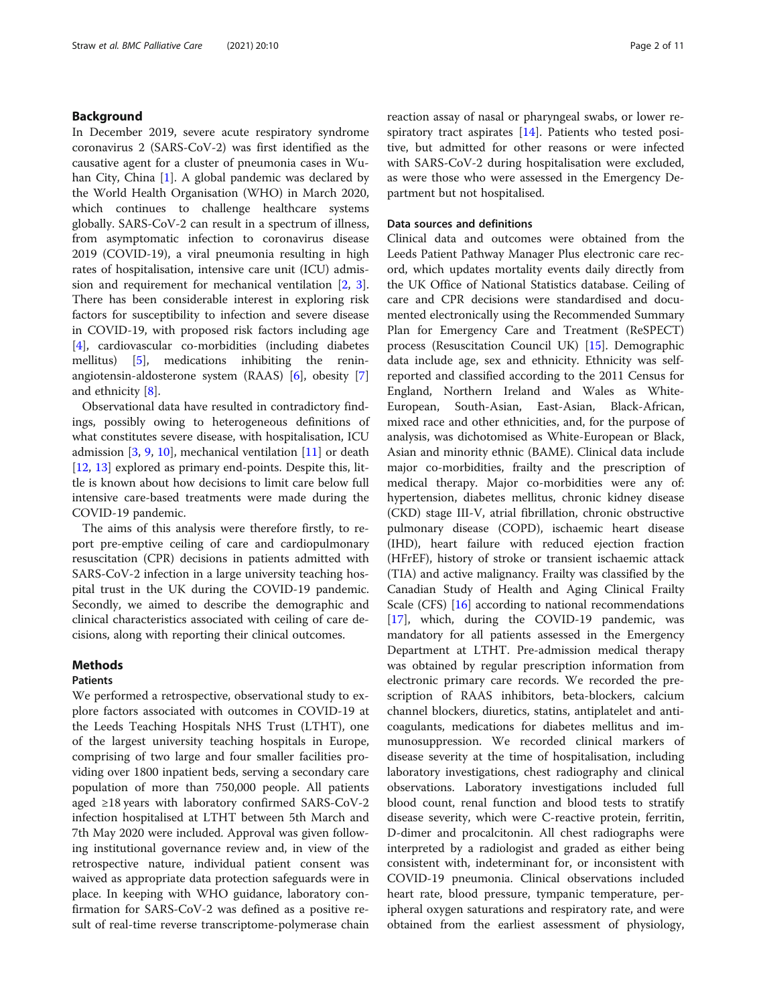# Background

In December 2019, severe acute respiratory syndrome coronavirus 2 (SARS-CoV-2) was first identified as the causative agent for a cluster of pneumonia cases in Wuhan City, China [[1\]](#page-10-0). A global pandemic was declared by the World Health Organisation (WHO) in March 2020, which continues to challenge healthcare systems globally. SARS-CoV-2 can result in a spectrum of illness, from asymptomatic infection to coronavirus disease 2019 (COVID-19), a viral pneumonia resulting in high rates of hospitalisation, intensive care unit (ICU) admission and requirement for mechanical ventilation [[2,](#page-10-0) [3](#page-10-0)]. There has been considerable interest in exploring risk factors for susceptibility to infection and severe disease in COVID-19, with proposed risk factors including age [[4\]](#page-10-0), cardiovascular co-morbidities (including diabetes mellitus) [\[5](#page-10-0)], medications inhibiting the reninangiotensin-aldosterone system (RAAS) [[6\]](#page-10-0), obesity [\[7](#page-10-0)] and ethnicity [\[8](#page-10-0)].

Observational data have resulted in contradictory findings, possibly owing to heterogeneous definitions of what constitutes severe disease, with hospitalisation, ICU admission  $[3, 9, 10]$  $[3, 9, 10]$  $[3, 9, 10]$  $[3, 9, 10]$  $[3, 9, 10]$  $[3, 9, 10]$ , mechanical ventilation  $[11]$  $[11]$  or death [[12,](#page-10-0) [13\]](#page-10-0) explored as primary end-points. Despite this, little is known about how decisions to limit care below full intensive care-based treatments were made during the COVID-19 pandemic.

The aims of this analysis were therefore firstly, to report pre-emptive ceiling of care and cardiopulmonary resuscitation (CPR) decisions in patients admitted with SARS-CoV-2 infection in a large university teaching hospital trust in the UK during the COVID-19 pandemic. Secondly, we aimed to describe the demographic and clinical characteristics associated with ceiling of care decisions, along with reporting their clinical outcomes.

## Methods

## Patients

We performed a retrospective, observational study to explore factors associated with outcomes in COVID-19 at the Leeds Teaching Hospitals NHS Trust (LTHT), one of the largest university teaching hospitals in Europe, comprising of two large and four smaller facilities providing over 1800 inpatient beds, serving a secondary care population of more than 750,000 people. All patients aged ≥18 years with laboratory confirmed SARS-CoV-2 infection hospitalised at LTHT between 5th March and 7th May 2020 were included. Approval was given following institutional governance review and, in view of the retrospective nature, individual patient consent was waived as appropriate data protection safeguards were in place. In keeping with WHO guidance, laboratory confirmation for SARS-CoV-2 was defined as a positive result of real-time reverse transcriptome-polymerase chain reaction assay of nasal or pharyngeal swabs, or lower respiratory tract aspirates [\[14](#page-10-0)]. Patients who tested positive, but admitted for other reasons or were infected with SARS-CoV-2 during hospitalisation were excluded, as were those who were assessed in the Emergency Department but not hospitalised.

# Data sources and definitions

Clinical data and outcomes were obtained from the Leeds Patient Pathway Manager Plus electronic care record, which updates mortality events daily directly from the UK Office of National Statistics database. Ceiling of care and CPR decisions were standardised and documented electronically using the Recommended Summary Plan for Emergency Care and Treatment (ReSPECT) process (Resuscitation Council UK) [[15](#page-10-0)]. Demographic data include age, sex and ethnicity. Ethnicity was selfreported and classified according to the 2011 Census for England, Northern Ireland and Wales as White-European, South-Asian, East-Asian, Black-African, mixed race and other ethnicities, and, for the purpose of analysis, was dichotomised as White-European or Black, Asian and minority ethnic (BAME). Clinical data include major co-morbidities, frailty and the prescription of medical therapy. Major co-morbidities were any of: hypertension, diabetes mellitus, chronic kidney disease (CKD) stage III-V, atrial fibrillation, chronic obstructive pulmonary disease (COPD), ischaemic heart disease (IHD), heart failure with reduced ejection fraction (HFrEF), history of stroke or transient ischaemic attack (TIA) and active malignancy. Frailty was classified by the Canadian Study of Health and Aging Clinical Frailty Scale (CFS) [\[16\]](#page-10-0) according to national recommendations [[17\]](#page-10-0), which, during the COVID-19 pandemic, was mandatory for all patients assessed in the Emergency Department at LTHT. Pre-admission medical therapy was obtained by regular prescription information from electronic primary care records. We recorded the prescription of RAAS inhibitors, beta-blockers, calcium channel blockers, diuretics, statins, antiplatelet and anticoagulants, medications for diabetes mellitus and immunosuppression. We recorded clinical markers of disease severity at the time of hospitalisation, including laboratory investigations, chest radiography and clinical observations. Laboratory investigations included full blood count, renal function and blood tests to stratify disease severity, which were C-reactive protein, ferritin, D-dimer and procalcitonin. All chest radiographs were interpreted by a radiologist and graded as either being consistent with, indeterminant for, or inconsistent with COVID-19 pneumonia. Clinical observations included heart rate, blood pressure, tympanic temperature, peripheral oxygen saturations and respiratory rate, and were obtained from the earliest assessment of physiology,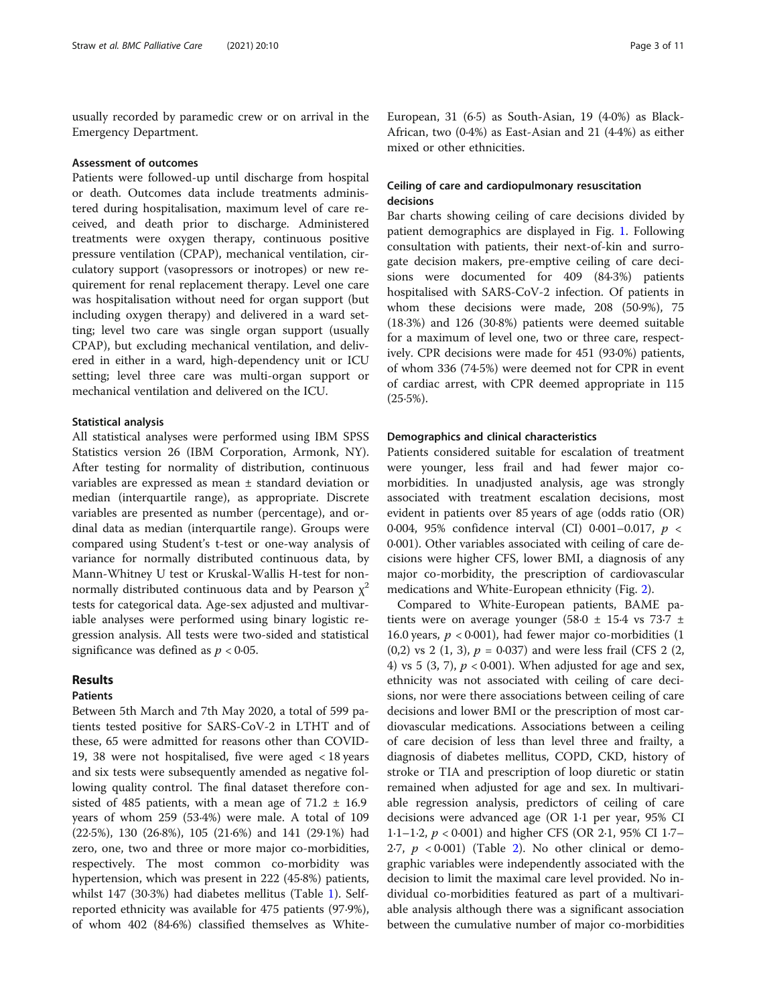usually recorded by paramedic crew or on arrival in the Emergency Department.

#### Assessment of outcomes

Patients were followed-up until discharge from hospital or death. Outcomes data include treatments administered during hospitalisation, maximum level of care received, and death prior to discharge. Administered treatments were oxygen therapy, continuous positive pressure ventilation (CPAP), mechanical ventilation, circulatory support (vasopressors or inotropes) or new requirement for renal replacement therapy. Level one care was hospitalisation without need for organ support (but including oxygen therapy) and delivered in a ward setting; level two care was single organ support (usually CPAP), but excluding mechanical ventilation, and delivered in either in a ward, high-dependency unit or ICU setting; level three care was multi-organ support or mechanical ventilation and delivered on the ICU.

#### Statistical analysis

All statistical analyses were performed using IBM SPSS Statistics version 26 (IBM Corporation, Armonk, NY). After testing for normality of distribution, continuous variables are expressed as mean ± standard deviation or median (interquartile range), as appropriate. Discrete variables are presented as number (percentage), and ordinal data as median (interquartile range). Groups were compared using Student's t-test or one-way analysis of variance for normally distributed continuous data, by Mann-Whitney U test or Kruskal-Wallis H-test for nonnormally distributed continuous data and by Pearson  $\chi^2$ tests for categorical data. Age-sex adjusted and multivariable analyses were performed using binary logistic regression analysis. All tests were two-sided and statistical significance was defined as  $p < 0.05$ .

# Results

# Patients

Between 5th March and 7th May 2020, a total of 599 patients tested positive for SARS-CoV-2 in LTHT and of these, 65 were admitted for reasons other than COVID-19, 38 were not hospitalised, five were aged < 18 years and six tests were subsequently amended as negative following quality control. The final dataset therefore consisted of 485 patients, with a mean age of  $71.2 \pm 16.9$ years of whom 259 (53·4%) were male. A total of 109 (22·5%), 130 (26·8%), 105 (21·6%) and 141 (29·1%) had zero, one, two and three or more major co-morbidities, respectively. The most common co-morbidity was hypertension, which was present in 222 (45·8%) patients, whilst 147 (30·3%) had diabetes mellitus (Table [1](#page-3-0)). Selfreported ethnicity was available for 475 patients (97·9%), of whom 402 (84·6%) classified themselves as WhiteEuropean, 31 (6·5) as South-Asian, 19 (4·0%) as Black-African, two (0·4%) as East-Asian and 21 (4·4%) as either mixed or other ethnicities.

# Ceiling of care and cardiopulmonary resuscitation decisions

Bar charts showing ceiling of care decisions divided by patient demographics are displayed in Fig. [1](#page-4-0). Following consultation with patients, their next-of-kin and surrogate decision makers, pre-emptive ceiling of care decisions were documented for 409 (84·3%) patients hospitalised with SARS-CoV-2 infection. Of patients in whom these decisions were made, 208 (50·9%), 75 (18·3%) and 126 (30·8%) patients were deemed suitable for a maximum of level one, two or three care, respectively. CPR decisions were made for 451 (93·0%) patients, of whom 336 (74·5%) were deemed not for CPR in event of cardiac arrest, with CPR deemed appropriate in 115 (25·5%).

#### Demographics and clinical characteristics

Patients considered suitable for escalation of treatment were younger, less frail and had fewer major comorbidities. In unadjusted analysis, age was strongly associated with treatment escalation decisions, most evident in patients over 85 years of age (odds ratio (OR) 0·004, 95% confidence interval (CI) 0·001–0.017, p < 0·001). Other variables associated with ceiling of care decisions were higher CFS, lower BMI, a diagnosis of any major co-morbidity, the prescription of cardiovascular medications and White-European ethnicity (Fig. [2\)](#page-5-0).

Compared to White-European patients, BAME patients were on average younger (58.0  $\pm$  15.4 vs 73.7  $\pm$ 16.0 years,  $p < 0.001$ ), had fewer major co-morbidities (1 (0,2) vs 2 (1, 3),  $p = 0.037$ ) and were less frail (CFS 2 (2, 4) vs 5 (3, 7),  $p < 0.001$ ). When adjusted for age and sex, ethnicity was not associated with ceiling of care decisions, nor were there associations between ceiling of care decisions and lower BMI or the prescription of most cardiovascular medications. Associations between a ceiling of care decision of less than level three and frailty, a diagnosis of diabetes mellitus, COPD, CKD, history of stroke or TIA and prescription of loop diuretic or statin remained when adjusted for age and sex. In multivariable regression analysis, predictors of ceiling of care decisions were advanced age (OR 1·1 per year, 95% CI 1·1–1·2,  $p < 0.001$ ) and higher CFS (OR 2·1, 95% CI 1·7– [2](#page-5-0).7,  $p < 0.001$ ) (Table 2). No other clinical or demographic variables were independently associated with the decision to limit the maximal care level provided. No individual co-morbidities featured as part of a multivariable analysis although there was a significant association between the cumulative number of major co-morbidities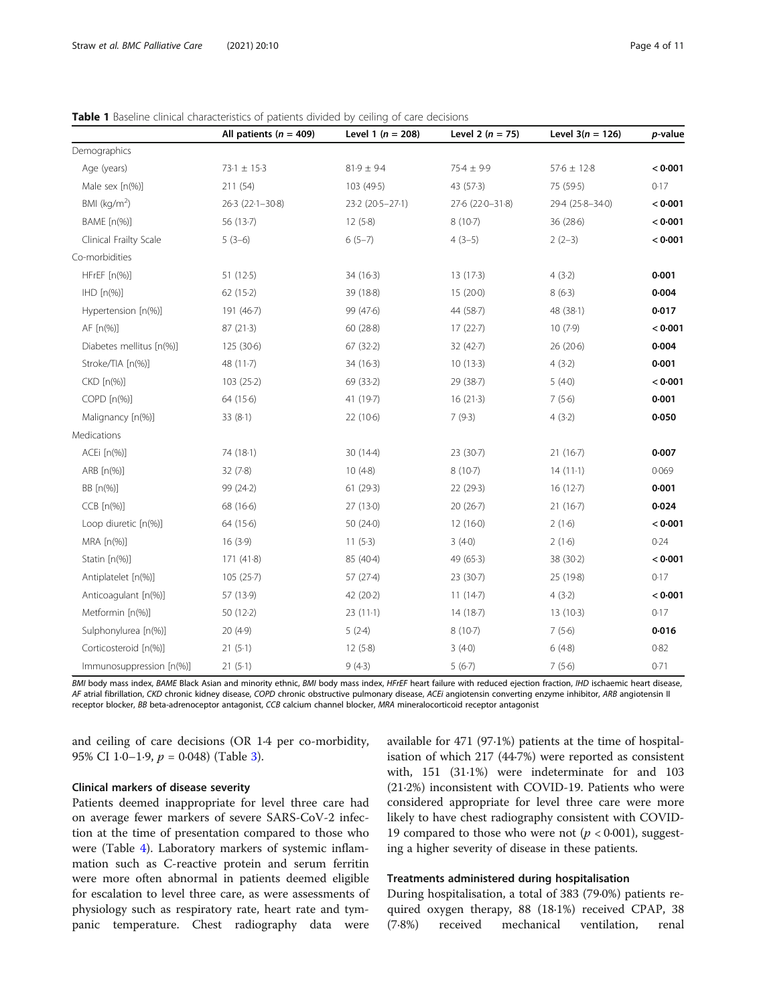|                          | All patients ( $n = 409$ ) | Level 1 ( $n = 208$ ) | Level 2 $(n = 75)$ | Level $3(n = 126)$ | p-value |
|--------------------------|----------------------------|-----------------------|--------------------|--------------------|---------|
| Demographics             |                            |                       |                    |                    |         |
| Age (years)              | $73.1 \pm 15.3$            | $81.9 \pm 9.4$        | $75.4 \pm 9.9$     | $57.6 \pm 12.8$    | < 0.001 |
| Male sex [n(%)]          | 211 (54)                   | 103 (49.5)            | 43 (57.3)          | 75 (59.5)          | 0.17    |
| BMI ( $kg/m2$ )          | 26.3 (22.1-30.8)           | 23-2 (20-5-27-1)      | 27-6 (22-0-31-8)   | 29-4 (25-8-34-0)   | < 0.001 |
| BAME [n(%)]              | 56 (13.7)                  | 12(5.8)               | 8(10.7)            | 36 (28.6)          | < 0.001 |
| Clinical Frailty Scale   | $5(3-6)$                   | $6(5-7)$              | $4(3-5)$           | $2(2-3)$           | < 0.001 |
| Co-morbidities           |                            |                       |                    |                    |         |
| HFrEF [n(%)]             | 51 (12-5)                  | 34 (16-3)             | 13 (17-3)          | 4(3.2)             | 0.001   |
| $IHD[n(\%)]$             | 62(15.2)                   | 39 (18-8)             | 15 (20.0)          | 8(6.3)             | 0.004   |
| Hypertension [n(%)]      | 191 (46.7)                 | 99 (47.6)             | 44 (58.7)          | 48 (38-1)          | 0.017   |
| AF [n(%)]                | 87(21.3)                   | 60 (28.8)             | 17(22.7)           | 10(7.9)            | < 0.001 |
| Diabetes mellitus [n(%)] | 125 (30.6)                 | 67(32.2)              | 32(42.7)           | 26 (20-6)          | 0.004   |
| Stroke/TIA [n(%)]        | 48 $(11-7)$                | $34(16-3)$            | 10(13.3)           | 4(3.2)             | 0.001   |
| CKD [n(%)]               | 103(25.2)                  | 69 (33.2)             | 29 (38.7)          | 5(4.0)             | < 0.001 |
| COPD [n(%)]              | 64 (15.6)                  | 41 (19.7)             | 16(21.3)           | 7(5.6)             | 0.001   |
| Malignancy [n(%)]        | 33(8.1)                    | 22 (10.6)             | 7(9.3)             | 4(3.2)             | 0.050   |
| Medications              |                            |                       |                    |                    |         |
| ACEi [n(%)]              | 74 (18-1)                  | 30 (14-4)             | 23 (30.7)          | 21(16.7)           | 0.007   |
| ARB [n(%)]               | 32(7.8)                    | 10(4.8)               | 8(10.7)            | $14(11-1)$         | 0.069   |
| BB [n(%)]                | 99 (24-2)                  | 61 (29.3)             | 22 (29-3)          | 16 (12.7)          | 0.001   |
| $CCB$ $[n(\%)]$          | 68 (16.6)                  | 27 (13-0)             | 20(26.7)           | $21(16-7)$         | 0.024   |
| Loop diuretic [n(%)]     | 64 (15.6)                  | 50 (24.0)             | 12(160)            | 2(1.6)             | < 0.001 |
| MRA [n(%)]               | 16(3.9)                    | 11(5.3)               | 3(4.0)             | 2(1.6)             | 0.24    |
| Statin [n(%)]            | 171(41.8)                  | 85 (40-4)             | 49 (65.3)          | 38 (30-2)          | < 0.001 |
| Antiplatelet [n(%)]      | 105(25.7)                  | 57 (27-4)             | 23 (30.7)          | 25 (19-8)          | 0.17    |
| Anticoagulant [n(%)]     | 57 (13.9)                  | 42 (20.2)             | 11(14.7)           | 4(3.2)             | < 0.001 |
| Metformin [n(%)]         | 50 (12-2)                  | $23(11-1)$            | 14 (18-7)          | 13(10.3)           | 0.17    |
| Sulphonylurea [n(%)]     | 20(4.9)                    | 5(2.4)                | 8(10.7)            | 7(5.6)             | 0.016   |
| Corticosteroid [n(%)]    | 21(5.1)                    | 12(5.8)               | 3(4.0)             | 6(4.8)             | 0.82    |
| Immunosuppression [n(%)] | 21(5.1)                    | 9(4.3)                | 5(6.7)             | 7(5.6)             | 0.71    |

<span id="page-3-0"></span>

| <b>Table 1</b> Baseline clinical characteristics of patients divided by ceiling of care decisions |  |  |  |  |
|---------------------------------------------------------------------------------------------------|--|--|--|--|
|                                                                                                   |  |  |  |  |

BMI body mass index, BAME Black Asian and minority ethnic, BMI body mass index, HFrEF heart failure with reduced ejection fraction, IHD ischaemic heart disease, AF atrial fibrillation, CKD chronic kidney disease, COPD chronic obstructive pulmonary disease, ACEi angiotensin converting enzyme inhibitor, ARB angiotensin II receptor blocker, BB beta-adrenoceptor antagonist, CCB calcium channel blocker, MRA mineralocorticoid receptor antagonist

and ceiling of care decisions (OR 1·4 per co-morbidity, 95% CI 1·0-1·9,  $p = 0.048$  (Table [3](#page-5-0)).

# Clinical markers of disease severity

Patients deemed inappropriate for level three care had on average fewer markers of severe SARS-CoV-2 infection at the time of presentation compared to those who were (Table [4](#page-6-0)). Laboratory markers of systemic inflammation such as C-reactive protein and serum ferritin were more often abnormal in patients deemed eligible for escalation to level three care, as were assessments of physiology such as respiratory rate, heart rate and tympanic temperature. Chest radiography data were available for 471 (97·1%) patients at the time of hospitalisation of which 217 (44·7%) were reported as consistent with, 151 (31·1%) were indeterminate for and 103 (21·2%) inconsistent with COVID-19. Patients who were considered appropriate for level three care were more likely to have chest radiography consistent with COVID-19 compared to those who were not ( $p < 0.001$ ), suggesting a higher severity of disease in these patients.

# Treatments administered during hospitalisation

During hospitalisation, a total of 383 (79·0%) patients required oxygen therapy, 88 (18·1%) received CPAP, 38 (7·8%) received mechanical ventilation, renal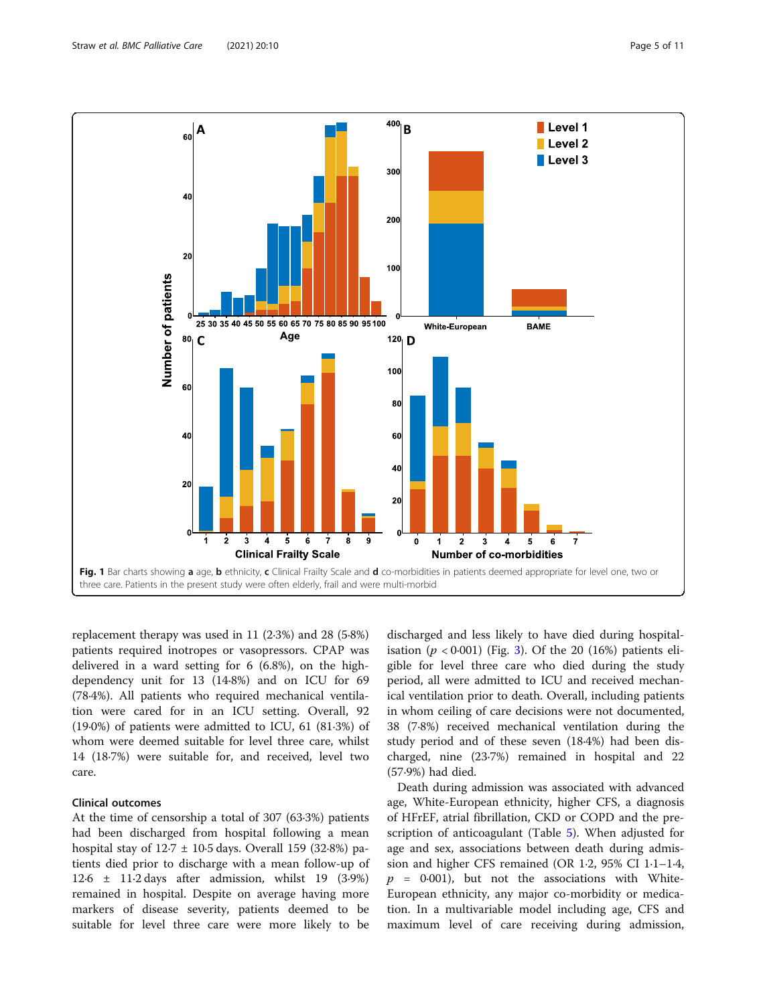<span id="page-4-0"></span>

replacement therapy was used in 11 (2·3%) and 28 (5·8%) patients required inotropes or vasopressors. CPAP was delivered in a ward setting for 6 (6.8%), on the highdependency unit for 13 (14·8%) and on ICU for 69 (78·4%). All patients who required mechanical ventilation were cared for in an ICU setting. Overall, 92 (19·0%) of patients were admitted to ICU, 61 (81·3%) of whom were deemed suitable for level three care, whilst 14 (18·7%) were suitable for, and received, level two care.

# Clinical outcomes

At the time of censorship a total of 307 (63·3%) patients had been discharged from hospital following a mean hospital stay of  $12.7 \pm 10.5$  days. Overall 159 (32.8%) patients died prior to discharge with a mean follow-up of 12·6 ± 11·2 days after admission, whilst 19 (3·9%) remained in hospital. Despite on average having more markers of disease severity, patients deemed to be suitable for level three care were more likely to be

discharged and less likely to have died during hospitalisation ( $p < 0.001$ ) (Fig. [3\)](#page-7-0). Of the 20 (16%) patients eligible for level three care who died during the study period, all were admitted to ICU and received mechanical ventilation prior to death. Overall, including patients in whom ceiling of care decisions were not documented, 38 (7·8%) received mechanical ventilation during the study period and of these seven (18·4%) had been discharged, nine (23·7%) remained in hospital and 22 (57·9%) had died.

Death during admission was associated with advanced age, White-European ethnicity, higher CFS, a diagnosis of HFrEF, atrial fibrillation, CKD or COPD and the prescription of anticoagulant (Table [5\)](#page-8-0). When adjusted for age and sex, associations between death during admission and higher CFS remained (OR 1·2, 95% CI 1·1–1·4,  $p = 0.001$ , but not the associations with White-European ethnicity, any major co-morbidity or medication. In a multivariable model including age, CFS and maximum level of care receiving during admission,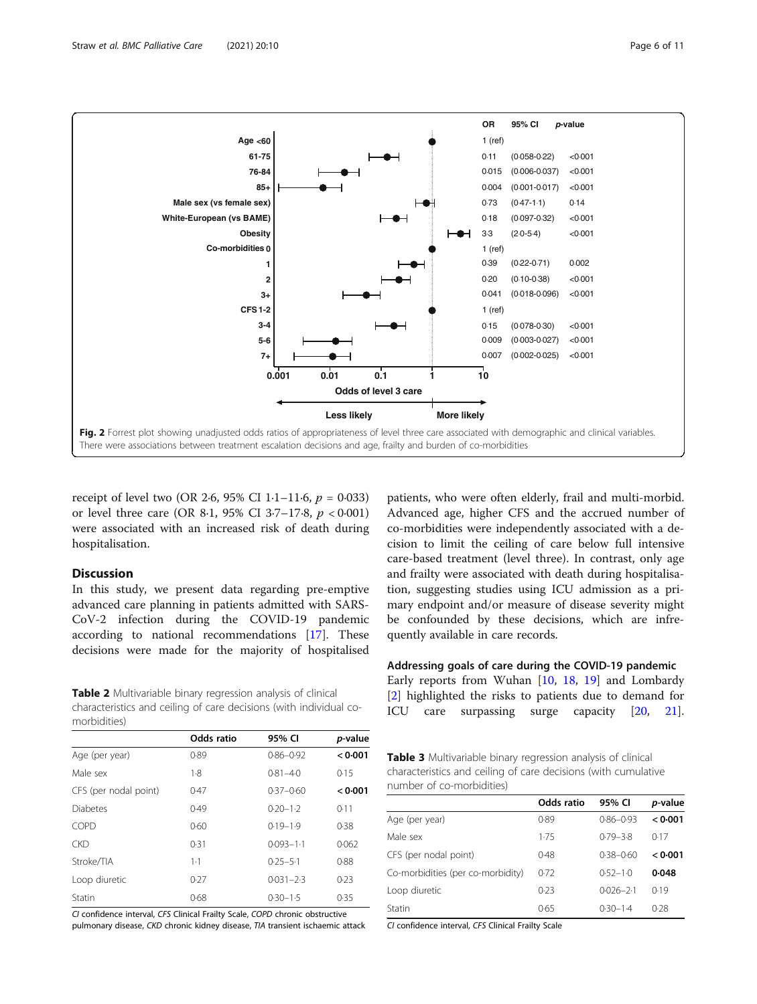

<span id="page-5-0"></span>

receipt of level two (OR 2.6, 95% CI 1.1–11.6,  $p = 0.033$ ) or level three care (OR 8.1, 95% CI 3.7–17.8,  $p < 0.001$ ) were associated with an increased risk of death during hospitalisation.

# Discussion

In this study, we present data regarding pre-emptive advanced care planning in patients admitted with SARS-CoV-2 infection during the COVID-19 pandemic according to national recommendations [[17](#page-10-0)]. These decisions were made for the majority of hospitalised

Table 2 Multivariable binary regression analysis of clinical characteristics and ceiling of care decisions (with individual comorbidities)

|                       | Odds ratio | 95% CI        | p-value |
|-----------------------|------------|---------------|---------|
| Age (per year)        | 0.89       | $0.86 - 0.92$ | < 0.001 |
| Male sex              | 1.8        | $0.81 - 4.0$  | 0.15    |
| CFS (per nodal point) | 0.47       | $0.37 - 0.60$ | < 0.001 |
| <b>Diabetes</b>       | 0.49       | $0.20 - 1.2$  | 0.11    |
| COPD                  | 0.60       | $0.19 - 1.9$  | 0.38    |
| <b>CKD</b>            | 0.31       | $0.093 - 1.1$ | 0.062   |
| Stroke/TIA            | $1 - 1$    | $0.25 - 5.1$  | 0.88    |
| Loop diuretic         | 0.27       | $0.031 - 2.3$ | 0.23    |
| Statin                | 0.68       | $0.30 - 1.5$  | 0.35    |

CI confidence interval, CFS Clinical Frailty Scale, COPD chronic obstructive pulmonary disease, CKD chronic kidney disease, TIA transient ischaemic attack

patients, who were often elderly, frail and multi-morbid. Advanced age, higher CFS and the accrued number of co-morbidities were independently associated with a decision to limit the ceiling of care below full intensive care-based treatment (level three). In contrast, only age and frailty were associated with death during hospitalisation, suggesting studies using ICU admission as a primary endpoint and/or measure of disease severity might be confounded by these decisions, which are infrequently available in care records.

Addressing goals of care during the COVID-19 pandemic Early reports from Wuhan [\[10](#page-10-0), [18,](#page-10-0) [19](#page-10-0)] and Lombardy

[[2\]](#page-10-0) highlighted the risks to patients due to demand for ICU care surpassing surge capacity [\[20](#page-10-0), [21](#page-10-0)].

| Table 3 Multivariable binary regression analysis of clinical   |
|----------------------------------------------------------------|
| characteristics and ceiling of care decisions (with cumulative |
| number of co-morbidities)                                      |

|                                   | Odds ratio | 95% CI        | p-value |
|-----------------------------------|------------|---------------|---------|
| Age (per year)                    | 0.89       | $0.86 - 0.93$ | < 0.001 |
| Male sex                          | 1.75       | $0.79 - 3.8$  | 0.17    |
| CFS (per nodal point)             | 0.48       | $0.38 - 0.60$ | 0.001   |
| Co-morbidities (per co-morbidity) | 0.72       | $0.52 - 1.0$  | 0.048   |
| Loop diuretic                     | 0.23       | $0.026 - 2.1$ | 0.19    |
| Statin                            | 0.65       | $0.30 - 1.4$  | 0.28    |

CI confidence interval, CFS Clinical Frailty Scale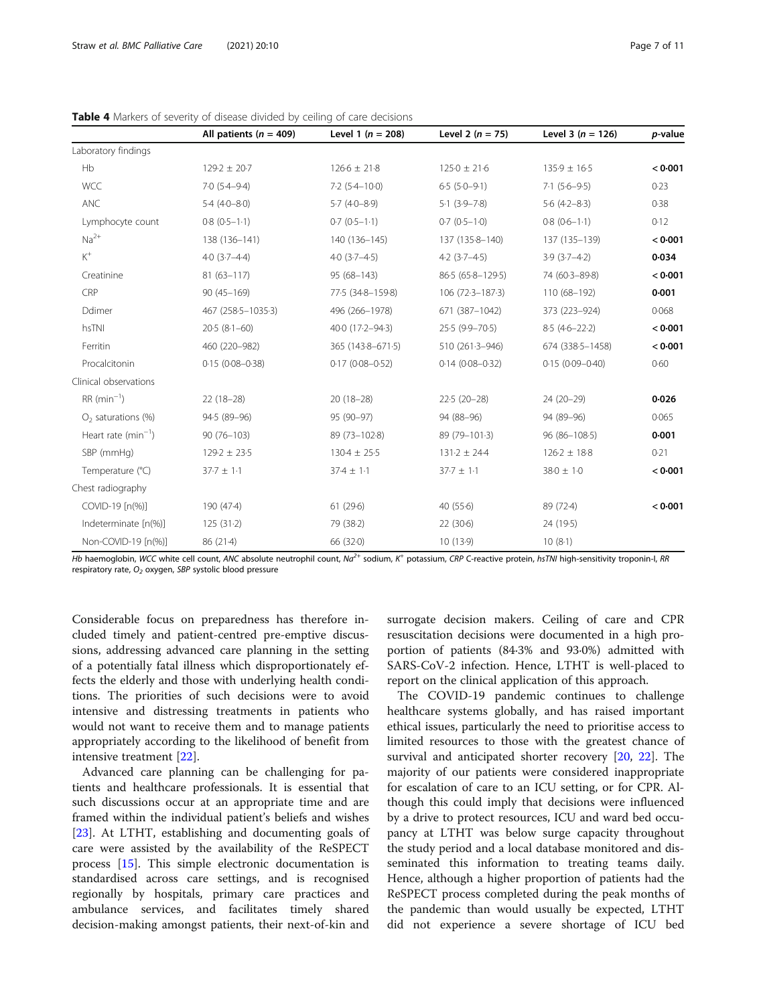|                         | All patients ( $n = 409$ ) | Level 1 ( $n = 208$ ) | Level 2 $(n = 75)$  | Level 3 ( $n = 126$ ) | p-value |
|-------------------------|----------------------------|-----------------------|---------------------|-----------------------|---------|
| Laboratory findings     |                            |                       |                     |                       |         |
| Hb                      | $129.2 \pm 20.7$           | $126.6 \pm 21.8$      | $125.0 \pm 21.6$    | $135.9 \pm 16.5$      | < 0.001 |
| <b>WCC</b>              | $7.0(5.4 - 9.4)$           | $7.2$ (5.4-10.0)      | $6.5(5.0-9.1)$      | $7.1(5.6-9.5)$        | 0.23    |
| <b>ANC</b>              | $5.4(4.0 - 8.0)$           | $5.7(4.0-8.9)$        | $5.1(3.9 - 7.8)$    | $5.6(4.2 - 8.3)$      | 0.38    |
| Lymphocyte count        | $0.8(0.5-1.1)$             | $0.7(0.5-1.1)$        | $0.7(0.5-1.0)$      | $0.8(0.6-1.1)$        | 0.12    |
| $Na2+$                  | 138 (136-141)              | 140 (136-145)         | 137 (135-8-140)     | 137 (135-139)         | < 0.001 |
| $K^+$                   | $4.0(3.7 - 4.4)$           | $40(3.7 - 4.5)$       | $4.2$ (3.7–4.5)     | $3.9(3.7 - 4.2)$      | 0.034   |
| Creatinine              | $81(63 - 117)$             | 95 (68-143)           | 86.5 (65.8-129.5)   | 74 (60-3-89-8)        | < 0.001 |
| CRP                     | $90(45 - 169)$             | 77.5 (34.8-159.8)     | 106 (72-3-187-3)    | 110 (68-192)          | 0.001   |
| Ddimer                  | 467 (258-5-1035-3)         | 496 (266-1978)        | 671 (387-1042)      | 373 (223-924)         | 0.068   |
| hsTNI                   | $20.5(8.1-60)$             | 400 (17.2-94.3)       | 25.5 (9.9-70.5)     | $8.5(4.6-22.2)$       | < 0.001 |
| Ferritin                | 460 (220-982)              | 365 (143-8-671-5)     | 510 (261.3-946)     | 674 (338-5-1458)      | < 0.001 |
| Procalcitonin           | $0.15(0.08 - 0.38)$        | $0.17(0.08 - 0.52)$   | $0.14(0.08 - 0.32)$ | $0.15(0.09 - 0.40)$   | 0.60    |
| Clinical observations   |                            |                       |                     |                       |         |
| $RR (min^{-1})$         | $22(18-28)$                | $20(18-28)$           | $22.5(20-28)$       | 24 (20-29)            | 0.026   |
| $O2$ saturations (%)    | 94.5 (89-96)               | 95 (90-97)            | 94 (88-96)          | 94 (89-96)            | 0.065   |
| Heart rate $(min^{-1})$ | $90(76 - 103)$             | 89 (73-102-8)         | 89 (79-101-3)       | $96(86-108.5)$        | 0.001   |
| SBP (mmHg)              | $129.2 \pm 23.5$           | $130.4 \pm 25.5$      | $131.2 \pm 24.4$    | $126.2 \pm 18.8$      | 0.21    |
| Temperature (°C)        | $37.7 \pm 1.1$             | $37.4 \pm 1.1$        | $37.7 \pm 1.1$      | $38.0\pm1.0$          | < 0.001 |
| Chest radiography       |                            |                       |                     |                       |         |
| COVID-19 [n(%)]         | 190 (47-4)                 | 61(29.6)              | 40(55.6)            | 89 (72-4)             | < 0.001 |
| Indeterminate [n(%)]    | 125(31.2)                  | 79 (38-2)             | 22(30.6)            | 24 (19.5)             |         |
| Non-COVID-19 [n(%)]     | 86 (21-4)                  | 66 (32.0)             | 10(13.9)            | 10(8.1)               |         |

<span id="page-6-0"></span>Table 4 Markers of severity of disease divided by ceiling of care decisions

Hb haemoglobin, WCC white cell count, ANC absolute neutrophil count,  $Na^{2+}$  sodium, K<sup>+</sup> potassium, CRP C-reactive protein, hsTNI high-sensitivity troponin-I, RR respiratory rate,  $O<sub>2</sub>$  oxygen, SBP systolic blood pressure

Considerable focus on preparedness has therefore included timely and patient-centred pre-emptive discussions, addressing advanced care planning in the setting of a potentially fatal illness which disproportionately effects the elderly and those with underlying health conditions. The priorities of such decisions were to avoid intensive and distressing treatments in patients who would not want to receive them and to manage patients appropriately according to the likelihood of benefit from intensive treatment [[22\]](#page-10-0).

Advanced care planning can be challenging for patients and healthcare professionals. It is essential that such discussions occur at an appropriate time and are framed within the individual patient's beliefs and wishes [[23\]](#page-10-0). At LTHT, establishing and documenting goals of care were assisted by the availability of the ReSPECT process [[15](#page-10-0)]. This simple electronic documentation is standardised across care settings, and is recognised regionally by hospitals, primary care practices and ambulance services, and facilitates timely shared decision-making amongst patients, their next-of-kin and surrogate decision makers. Ceiling of care and CPR resuscitation decisions were documented in a high proportion of patients (84·3% and 93·0%) admitted with SARS-CoV-2 infection. Hence, LTHT is well-placed to report on the clinical application of this approach.

The COVID-19 pandemic continues to challenge healthcare systems globally, and has raised important ethical issues, particularly the need to prioritise access to limited resources to those with the greatest chance of survival and anticipated shorter recovery [[20,](#page-10-0) [22](#page-10-0)]. The majority of our patients were considered inappropriate for escalation of care to an ICU setting, or for CPR. Although this could imply that decisions were influenced by a drive to protect resources, ICU and ward bed occupancy at LTHT was below surge capacity throughout the study period and a local database monitored and disseminated this information to treating teams daily. Hence, although a higher proportion of patients had the ReSPECT process completed during the peak months of the pandemic than would usually be expected, LTHT did not experience a severe shortage of ICU bed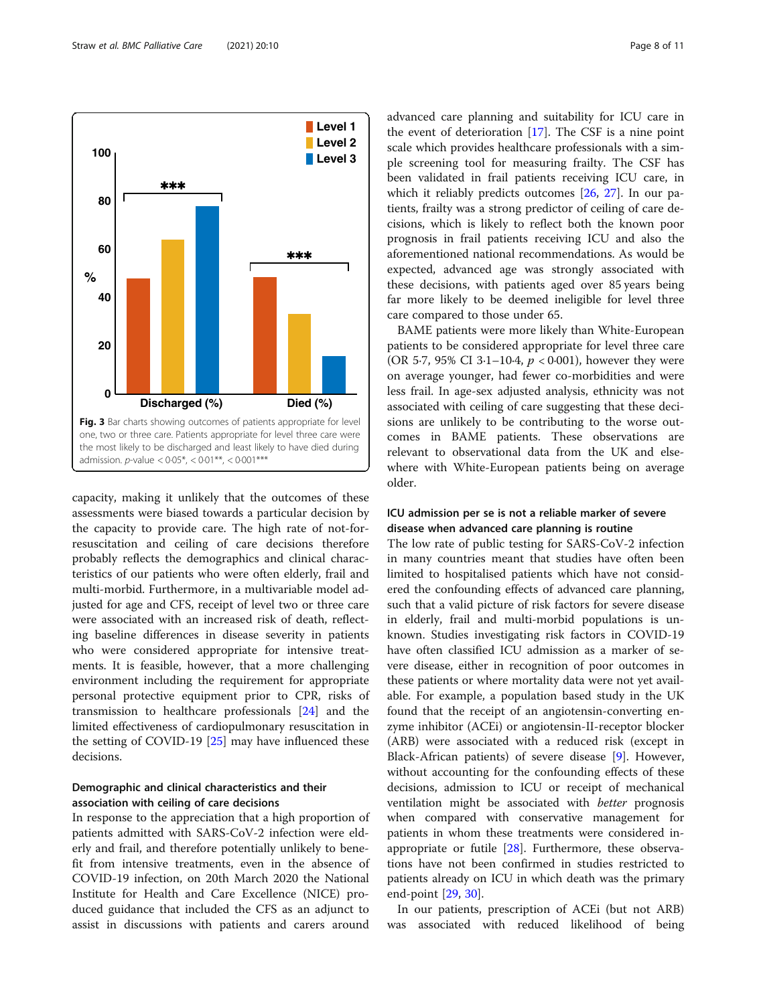<span id="page-7-0"></span>

capacity, making it unlikely that the outcomes of these assessments were biased towards a particular decision by the capacity to provide care. The high rate of not-forresuscitation and ceiling of care decisions therefore probably reflects the demographics and clinical characteristics of our patients who were often elderly, frail and multi-morbid. Furthermore, in a multivariable model adjusted for age and CFS, receipt of level two or three care were associated with an increased risk of death, reflecting baseline differences in disease severity in patients who were considered appropriate for intensive treatments. It is feasible, however, that a more challenging environment including the requirement for appropriate personal protective equipment prior to CPR, risks of transmission to healthcare professionals [[24\]](#page-10-0) and the limited effectiveness of cardiopulmonary resuscitation in the setting of COVID-19 [[25](#page-10-0)] may have influenced these decisions.

# Demographic and clinical characteristics and their association with ceiling of care decisions

In response to the appreciation that a high proportion of patients admitted with SARS-CoV-2 infection were elderly and frail, and therefore potentially unlikely to benefit from intensive treatments, even in the absence of COVID-19 infection, on 20th March 2020 the National Institute for Health and Care Excellence (NICE) produced guidance that included the CFS as an adjunct to assist in discussions with patients and carers around

advanced care planning and suitability for ICU care in the event of deterioration [\[17](#page-10-0)]. The CSF is a nine point scale which provides healthcare professionals with a simple screening tool for measuring frailty. The CSF has been validated in frail patients receiving ICU care, in which it reliably predicts outcomes [[26](#page-10-0), [27](#page-10-0)]. In our patients, frailty was a strong predictor of ceiling of care decisions, which is likely to reflect both the known poor prognosis in frail patients receiving ICU and also the aforementioned national recommendations. As would be expected, advanced age was strongly associated with these decisions, with patients aged over 85 years being far more likely to be deemed ineligible for level three care compared to those under 65.

BAME patients were more likely than White-European patients to be considered appropriate for level three care (OR 5.7, 95% CI 3.1–10.4,  $p < 0.001$ ), however they were on average younger, had fewer co-morbidities and were less frail. In age-sex adjusted analysis, ethnicity was not associated with ceiling of care suggesting that these decisions are unlikely to be contributing to the worse outcomes in BAME patients. These observations are relevant to observational data from the UK and elsewhere with White-European patients being on average older.

# ICU admission per se is not a reliable marker of severe disease when advanced care planning is routine

The low rate of public testing for SARS-CoV-2 infection in many countries meant that studies have often been limited to hospitalised patients which have not considered the confounding effects of advanced care planning, such that a valid picture of risk factors for severe disease in elderly, frail and multi-morbid populations is unknown. Studies investigating risk factors in COVID-19 have often classified ICU admission as a marker of severe disease, either in recognition of poor outcomes in these patients or where mortality data were not yet available. For example, a population based study in the UK found that the receipt of an angiotensin-converting enzyme inhibitor (ACEi) or angiotensin-II-receptor blocker (ARB) were associated with a reduced risk (except in Black-African patients) of severe disease [[9\]](#page-10-0). However, without accounting for the confounding effects of these decisions, admission to ICU or receipt of mechanical ventilation might be associated with better prognosis when compared with conservative management for patients in whom these treatments were considered inappropriate or futile [\[28\]](#page-10-0). Furthermore, these observations have not been confirmed in studies restricted to patients already on ICU in which death was the primary end-point [[29,](#page-10-0) [30\]](#page-10-0).

In our patients, prescription of ACEi (but not ARB) was associated with reduced likelihood of being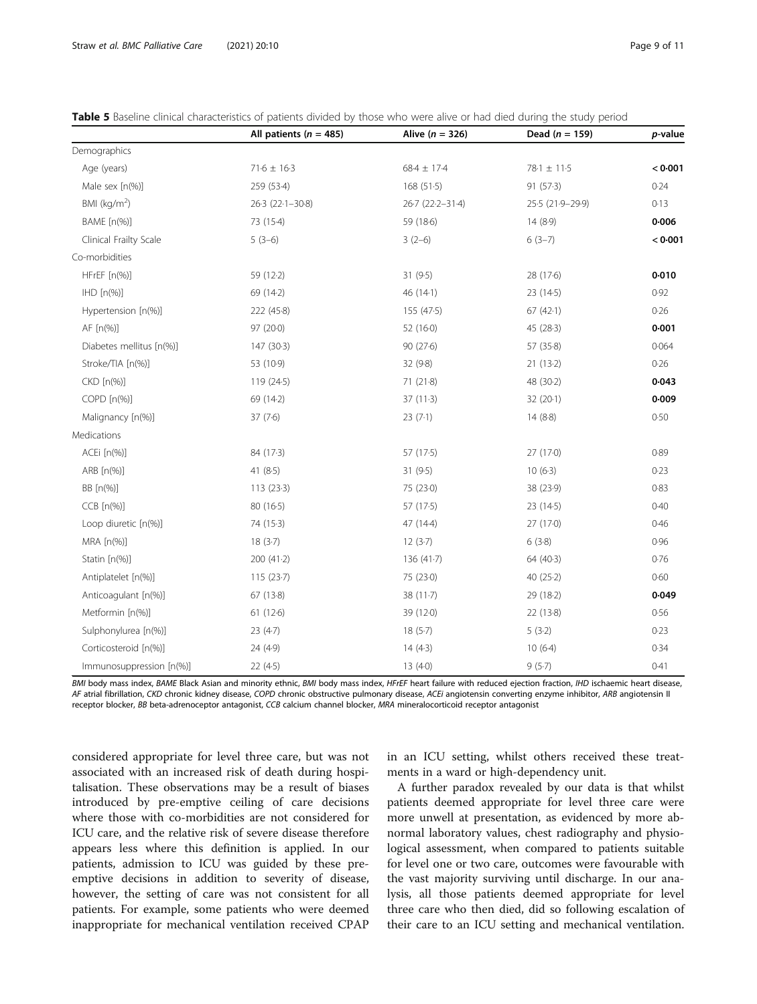<span id="page-8-0"></span>

| <b>Table 5</b> Baseline clinical characteristics of patients divided by those who were alive or had died during the study period |  |  |  |
|----------------------------------------------------------------------------------------------------------------------------------|--|--|--|
|----------------------------------------------------------------------------------------------------------------------------------|--|--|--|

|                          | All patients ( $n = 485$ ) | Alive $(n = 326)$ | Dead $(n = 159)$ | p-value |
|--------------------------|----------------------------|-------------------|------------------|---------|
| Demographics             |                            |                   |                  |         |
| Age (years)              | $71.6 \pm 16.3$            | $68.4 \pm 17.4$   | 78-1 ± 11-5      | < 0.001 |
| Male sex [n(%)]          | 259 (53-4)                 | 168(51.5)         | 91(57.3)         | 0.24    |
| BMI $(kq/m2)$            | $26.3$ ( $22.1 - 30.8$ )   | 26-7 (22-2-31-4)  | 25.5 (21.9-29.9) | 0.13    |
| BAME [n(%)]              | 73 (15-4)                  | 59 (18.6)         | 14(8.9)          | 0.006   |
| Clinical Frailty Scale   | $5(3-6)$                   | $3(2-6)$          | $6(3-7)$         | < 0.001 |
| Co-morbidities           |                            |                   |                  |         |
| HFrEF [n(%)]             | 59 (12-2)                  | 31 (9.5)          | 28 (17.6)        | 0.010   |
| $HD[n(\%)]$              | 69 (14-2)                  | 46(14.1)          | 23 (14-5)        | 0.92    |
| Hypertension [n(%)]      | 222 (45.8)                 | 155 (47.5)        | 67(42.1)         | 0.26    |
| AF [n(%)]                | 97 (20.0)                  | 52(16.0)          | 45 (28.3)        | 0.001   |
| Diabetes mellitus [n(%)] | 147 (30.3)                 | 90(27.6)          | 57 (35.8)        | 0.064   |
| Stroke/TIA [n(%)]        | 53 (10.9)                  | 32 (9.8)          | 21(13.2)         | 0.26    |
| CKD [n(%)]               | 119 (24.5)                 | 71(21.8)          | 48 (30.2)        | 0.043   |
| COPD [n(%)]              | 69 (14-2)                  | $37(11-3)$        | 32(20.1)         | 0.009   |
| Malignancy [n(%)]        | 37(7.6)                    | 23(7.1)           | 14(8.8)          | 0.50    |
| Medications              |                            |                   |                  |         |
| ACEi [n(%)]              | 84 (17-3)                  | 57(17.5)          | 27(170)          | 0.89    |
| ARB [n(%)]               | 41 $(8.5)$                 | 31(9.5)           | 10(6.3)          | 0.23    |
| BB [n(%)]                | 113(23.3)                  | 75 (23.0)         | 38 (23.9)        | 0.83    |
| $CCB$ $[n(\%)]$          | 80 (16-5)                  | 57 (17.5)         | 23 (14-5)        | 0.40    |
| Loop diuretic [n(%)]     | 74 (15-3)                  | 47 (14-4)         | 27(17.0)         | 0.46    |
| MRA [n(%)]               | 18(3.7)                    | 12(3.7)           | 6(3.8)           | 0.96    |
| Statin [n(%)]            | 200 (41.2)                 | 136 (41.7)        | 64 (40.3)        | 0.76    |
| Antiplatelet [n(%)]      | 115(23.7)                  | 75 (23.0)         | 40 $(25.2)$      | 0.60    |
| Anticoagulant [n(%)]     | 67 (13-8)                  | 38(11.7)          | 29 (18-2)        | 0.049   |
| Metformin [n(%)]         | 61(12.6)                   | 39 (12-0)         | 22 (13-8)        | 0.56    |
| Sulphonylurea [n(%)]     | 23(4.7)                    | 18(5.7)           | 5(3.2)           | 0.23    |
| Corticosteroid [n(%)]    | 24 (4.9)                   | 14(4.3)           | 10(6.4)          | 0.34    |
| Immunosuppression [n(%)] | 22(4.5)                    | 13(40)            | 9(5.7)           | 0.41    |

BMI body mass index, BAME Black Asian and minority ethnic, BMI body mass index, HFrEF heart failure with reduced ejection fraction, IHD ischaemic heart disease, AF atrial fibrillation, CKD chronic kidney disease, COPD chronic obstructive pulmonary disease, ACEi angiotensin converting enzyme inhibitor, ARB angiotensin II receptor blocker, BB beta-adrenoceptor antagonist, CCB calcium channel blocker, MRA mineralocorticoid receptor antagonist

considered appropriate for level three care, but was not associated with an increased risk of death during hospitalisation. These observations may be a result of biases introduced by pre-emptive ceiling of care decisions where those with co-morbidities are not considered for ICU care, and the relative risk of severe disease therefore appears less where this definition is applied. In our patients, admission to ICU was guided by these preemptive decisions in addition to severity of disease, however, the setting of care was not consistent for all patients. For example, some patients who were deemed inappropriate for mechanical ventilation received CPAP in an ICU setting, whilst others received these treatments in a ward or high-dependency unit.

A further paradox revealed by our data is that whilst patients deemed appropriate for level three care were more unwell at presentation, as evidenced by more abnormal laboratory values, chest radiography and physiological assessment, when compared to patients suitable for level one or two care, outcomes were favourable with the vast majority surviving until discharge. In our analysis, all those patients deemed appropriate for level three care who then died, did so following escalation of their care to an ICU setting and mechanical ventilation.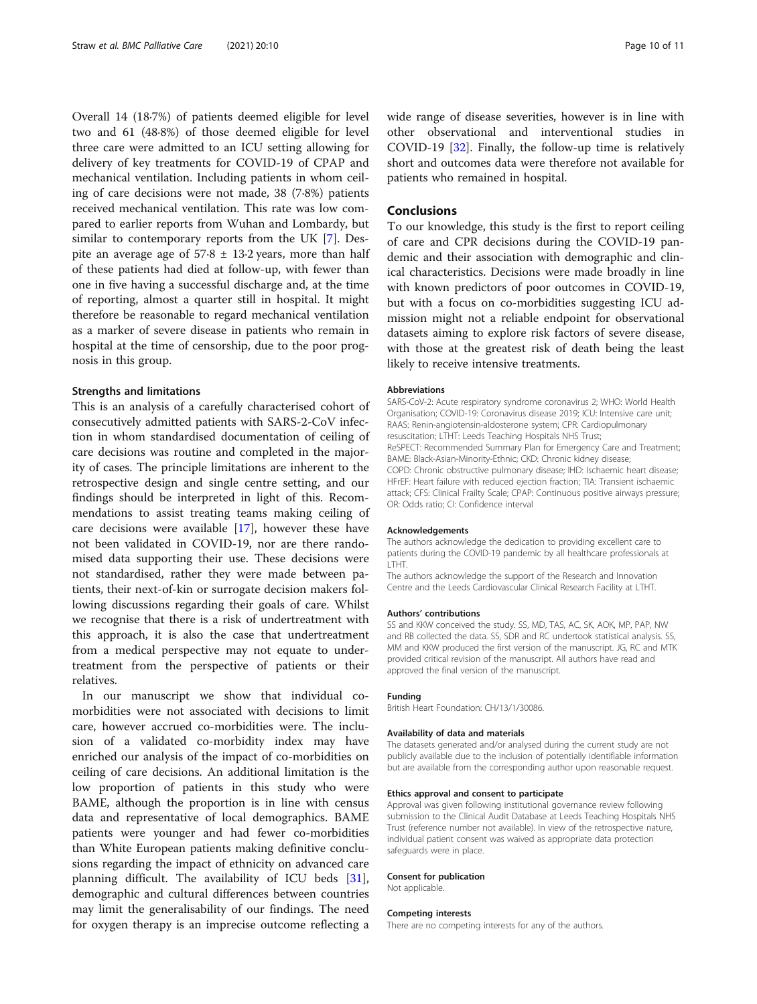Overall 14 (18·7%) of patients deemed eligible for level two and 61 (48·8%) of those deemed eligible for level three care were admitted to an ICU setting allowing for delivery of key treatments for COVID-19 of CPAP and mechanical ventilation. Including patients in whom ceiling of care decisions were not made, 38 (7·8%) patients received mechanical ventilation. This rate was low compared to earlier reports from Wuhan and Lombardy, but similar to contemporary reports from the UK [\[7](#page-10-0)]. Despite an average age of  $57.8 \pm 13.2$  years, more than half of these patients had died at follow-up, with fewer than one in five having a successful discharge and, at the time of reporting, almost a quarter still in hospital. It might therefore be reasonable to regard mechanical ventilation as a marker of severe disease in patients who remain in hospital at the time of censorship, due to the poor prognosis in this group.

#### Strengths and limitations

This is an analysis of a carefully characterised cohort of consecutively admitted patients with SARS-2-CoV infection in whom standardised documentation of ceiling of care decisions was routine and completed in the majority of cases. The principle limitations are inherent to the retrospective design and single centre setting, and our findings should be interpreted in light of this. Recommendations to assist treating teams making ceiling of care decisions were available [\[17](#page-10-0)], however these have not been validated in COVID-19, nor are there randomised data supporting their use. These decisions were not standardised, rather they were made between patients, their next-of-kin or surrogate decision makers following discussions regarding their goals of care. Whilst we recognise that there is a risk of undertreatment with this approach, it is also the case that undertreatment from a medical perspective may not equate to undertreatment from the perspective of patients or their relatives.

In our manuscript we show that individual comorbidities were not associated with decisions to limit care, however accrued co-morbidities were. The inclusion of a validated co-morbidity index may have enriched our analysis of the impact of co-morbidities on ceiling of care decisions. An additional limitation is the low proportion of patients in this study who were BAME, although the proportion is in line with census data and representative of local demographics. BAME patients were younger and had fewer co-morbidities than White European patients making definitive conclusions regarding the impact of ethnicity on advanced care planning difficult. The availability of ICU beds [\[31](#page-10-0)], demographic and cultural differences between countries may limit the generalisability of our findings. The need for oxygen therapy is an imprecise outcome reflecting a wide range of disease severities, however is in line with other observational and interventional studies in COVID-19 [[32\]](#page-10-0). Finally, the follow-up time is relatively short and outcomes data were therefore not available for patients who remained in hospital.

# Conclusions

To our knowledge, this study is the first to report ceiling of care and CPR decisions during the COVID-19 pandemic and their association with demographic and clinical characteristics. Decisions were made broadly in line with known predictors of poor outcomes in COVID-19, but with a focus on co-morbidities suggesting ICU admission might not a reliable endpoint for observational datasets aiming to explore risk factors of severe disease, with those at the greatest risk of death being the least likely to receive intensive treatments.

#### Abbreviations

SARS-CoV-2: Acute respiratory syndrome coronavirus 2; WHO: World Health Organisation; COVID-19: Coronavirus disease 2019; ICU: Intensive care unit; RAAS: Renin-angiotensin-aldosterone system; CPR: Cardiopulmonary resuscitation; LTHT: Leeds Teaching Hospitals NHS Trust; ReSPECT: Recommended Summary Plan for Emergency Care and Treatment; BAME: Black-Asian-Minority-Ethnic; CKD: Chronic kidney disease; COPD: Chronic obstructive pulmonary disease; IHD: Ischaemic heart disease; HFrEF: Heart failure with reduced ejection fraction; TIA: Transient ischaemic attack; CFS: Clinical Frailty Scale; CPAP: Continuous positive airways pressure; OR: Odds ratio; CI: Confidence interval

#### Acknowledgements

The authors acknowledge the dedication to providing excellent care to patients during the COVID-19 pandemic by all healthcare professionals at LTHT.

The authors acknowledge the support of the Research and Innovation Centre and the Leeds Cardiovascular Clinical Research Facility at LTHT.

#### Authors' contributions

SS and KKW conceived the study. SS, MD, TAS, AC, SK, AOK, MP, PAP, NW and RB collected the data. SS, SDR and RC undertook statistical analysis. SS, MM and KKW produced the first version of the manuscript. JG, RC and MTK provided critical revision of the manuscript. All authors have read and approved the final version of the manuscript.

#### Funding

British Heart Foundation: CH/13/1/30086.

#### Availability of data and materials

The datasets generated and/or analysed during the current study are not publicly available due to the inclusion of potentially identifiable information but are available from the corresponding author upon reasonable request.

#### Ethics approval and consent to participate

Approval was given following institutional governance review following submission to the Clinical Audit Database at Leeds Teaching Hospitals NHS Trust (reference number not available). In view of the retrospective nature, individual patient consent was waived as appropriate data protection safeguards were in place.

#### Consent for publication

Not applicable.

#### Competing interests

There are no competing interests for any of the authors.